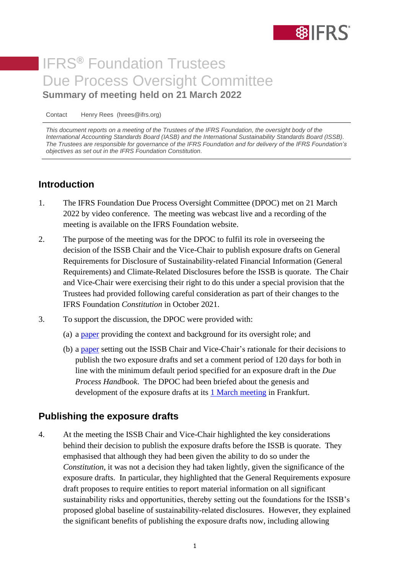

# IFRS**®** Foundation Trustees Due Process Oversight Committee **Summary of meeting held on 21 March 2022**

Contact Henry Rees (hrees@ifrs.org)

*This document reports on a meeting of the Trustees of the IFRS Foundation, the oversight body of the International Accounting Standards Board (IASB) and the International Sustainability Standards Board (ISSB). The Trustees are responsible for governance of the IFRS Foundation and for delivery of the IFRS Foundation's objectives as set out in the IFRS Foundation Constitution.*

### **Introduction**

- 1. The IFRS Foundation Due Process Oversight Committee (DPOC) met on 21 March 2022 by video conference. The meeting was webcast live and a recording of the meeting is available on the IFRS Foundation website.
- 2. The purpose of the meeting was for the DPOC to fulfil its role in overseeing the decision of the ISSB Chair and the Vice-Chair to publish exposure drafts on General Requirements for Disclosure of Sustainability-related Financial Information (General Requirements) and Climate-Related Disclosures before the ISSB is quorate. The Chair and Vice-Chair were exercising their right to do this under a special provision that the Trustees had provided following careful consideration as part of their changes to the IFRS Foundation *Constitution* in October 2021.
- 3. To support the discussion, the DPOC were provided with:
	- (a) a [paper](https://www.ifrs.org/content/dam/ifrs/meetings/2022/march/dpoc-2/dpoc-paper-1a-cover.pdf) providing the context and background for its oversight role; and
	- (b) a [paper](https://www.ifrs.org/content/dam/ifrs/meetings/2022/march/dpoc-2/dpoc-paper-1b-chair-vc-rationale.pdf) setting out the ISSB Chair and Vice-Chair's rationale for their decisions to publish the two exposure drafts and set a comment period of 120 days for both in line with the minimum default period specified for an exposure draft in the *Due Process Handbook*. The DPOC had been briefed about the genesis and development of the exposure drafts at its **1 [March meeting](https://www.ifrs.org/content/dam/ifrs/meetings/2022/march/dpoc/report-of-march-dpoc-meeting.pdf) in Frankfurt.**

#### **Publishing the exposure drafts**

4. At the meeting the ISSB Chair and Vice-Chair highlighted the key considerations behind their decision to publish the exposure drafts before the ISSB is quorate. They emphasised that although they had been given the ability to do so under the *Constitution*, it was not a decision they had taken lightly, given the significance of the exposure drafts. In particular, they highlighted that the General Requirements exposure draft proposes to require entities to report material information on all significant sustainability risks and opportunities, thereby setting out the foundations for the ISSB's proposed global baseline of sustainability-related disclosures. However, they explained the significant benefits of publishing the exposure drafts now, including allowing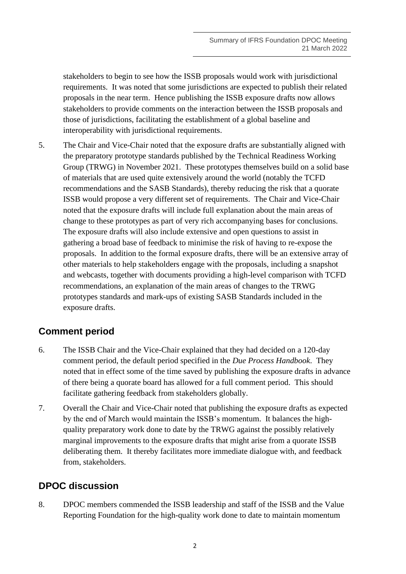stakeholders to begin to see how the ISSB proposals would work with jurisdictional requirements. It was noted that some jurisdictions are expected to publish their related proposals in the near term. Hence publishing the ISSB exposure drafts now allows stakeholders to provide comments on the interaction between the ISSB proposals and those of jurisdictions, facilitating the establishment of a global baseline and interoperability with jurisdictional requirements.

5. The Chair and Vice-Chair noted that the exposure drafts are substantially aligned with the preparatory prototype standards published by the Technical Readiness Working Group (TRWG) in November 2021. These prototypes themselves build on a solid base of materials that are used quite extensively around the world (notably the TCFD recommendations and the SASB Standards), thereby reducing the risk that a quorate ISSB would propose a very different set of requirements. The Chair and Vice-Chair noted that the exposure drafts will include full explanation about the main areas of change to these prototypes as part of very rich accompanying bases for conclusions. The exposure drafts will also include extensive and open questions to assist in gathering a broad base of feedback to minimise the risk of having to re-expose the proposals. In addition to the formal exposure drafts, there will be an extensive array of other materials to help stakeholders engage with the proposals, including a snapshot and webcasts, together with documents providing a high-level comparison with TCFD recommendations, an explanation of the main areas of changes to the TRWG prototypes standards and mark-ups of existing SASB Standards included in the exposure drafts.

## **Comment period**

- 6. The ISSB Chair and the Vice-Chair explained that they had decided on a 120-day comment period, the default period specified in the *Due Process Handbook*. They noted that in effect some of the time saved by publishing the exposure drafts in advance of there being a quorate board has allowed for a full comment period. This should facilitate gathering feedback from stakeholders globally.
- 7. Overall the Chair and Vice-Chair noted that publishing the exposure drafts as expected by the end of March would maintain the ISSB's momentum. It balances the highquality preparatory work done to date by the TRWG against the possibly relatively marginal improvements to the exposure drafts that might arise from a quorate ISSB deliberating them. It thereby facilitates more immediate dialogue with, and feedback from, stakeholders.

## **DPOC discussion**

8. DPOC members commended the ISSB leadership and staff of the ISSB and the Value Reporting Foundation for the high-quality work done to date to maintain momentum